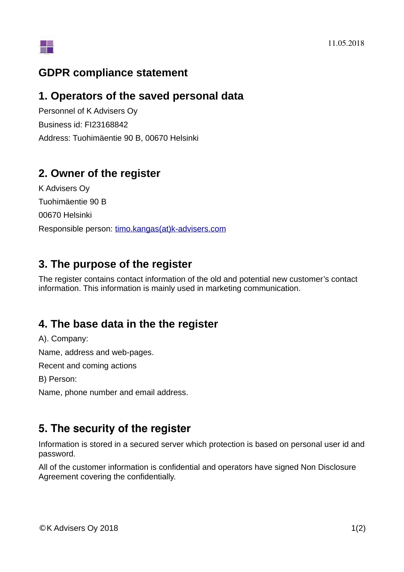

#### **GDPR compliance statement**

#### **1. Operators of the saved personal data**

Personnel of K Advisers Oy Business id: FI23168842 Address: Tuohimäentie 90 B, 00670 Helsinki

### **2. Owner of the register**

K Advisers Oy Tuohimäentie 90 B 00670 Helsinki Responsible person: timo.kangas(at)k-advisers.com

### **3. The purpose of the register**

The register contains contact information of the old and potential new customer's contact information. This information is mainly used in marketing communication.

## **4. The base data in the the register**

A). Company:

Name, address and web-pages.

Recent and coming actions

B) Person:

Name, phone number and email address.

## **5. The security of the register**

Information is stored in a secured server which protection is based on personal user id and password.

All of the customer information is confidential and operators have signed Non Disclosure Agreement covering the confidentially.